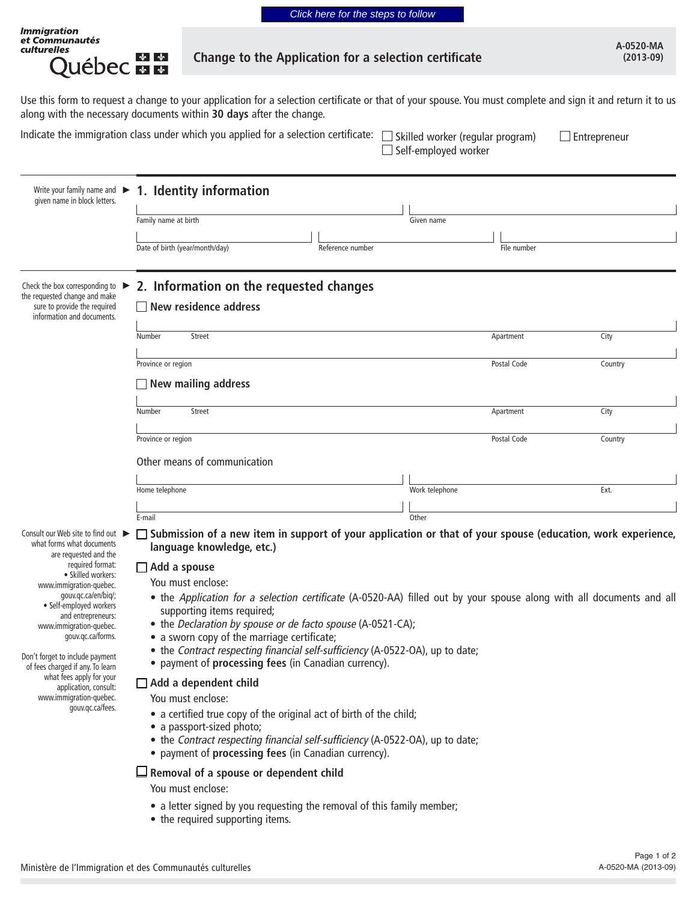| A-0520-MA   |
|-------------|
|             |
| $(2013-09)$ |

## Change to the Application for a selection certificate

Use this form to request a change to your application for a selection certificate or that of your spouse. You must complete and sign it and return it to us along with the necessary documents within **30 days** after the change.

*Immigration<br>et Communautés<br>culturelles* 

ू<br>Québec <del>स</del> स

| $\mathsf{cate}$ : $\Box$ Skilled worker (regular program) | $\Box$ Entrepreneur |
|-----------------------------------------------------------|---------------------|
| $\Box$ Self-employed worker                               |                     |

| 1. Identity information<br>Family name at birth<br>Date of birth (year/month/day)<br>Reference number                                                                                                                                                                                        | Given name                                                                                                 | File number                                                                                                                       |                                                                                                                                                                                                                                                                                                                                                                                                                                   |  |  |
|----------------------------------------------------------------------------------------------------------------------------------------------------------------------------------------------------------------------------------------------------------------------------------------------|------------------------------------------------------------------------------------------------------------|-----------------------------------------------------------------------------------------------------------------------------------|-----------------------------------------------------------------------------------------------------------------------------------------------------------------------------------------------------------------------------------------------------------------------------------------------------------------------------------------------------------------------------------------------------------------------------------|--|--|
|                                                                                                                                                                                                                                                                                              |                                                                                                            |                                                                                                                                   |                                                                                                                                                                                                                                                                                                                                                                                                                                   |  |  |
| 2. Information on the requested changes<br>New residence address                                                                                                                                                                                                                             |                                                                                                            |                                                                                                                                   |                                                                                                                                                                                                                                                                                                                                                                                                                                   |  |  |
|                                                                                                                                                                                                                                                                                              |                                                                                                            |                                                                                                                                   | City                                                                                                                                                                                                                                                                                                                                                                                                                              |  |  |
| Province or region<br>New mailing address                                                                                                                                                                                                                                                    |                                                                                                            | Postal Code                                                                                                                       | Country                                                                                                                                                                                                                                                                                                                                                                                                                           |  |  |
|                                                                                                                                                                                                                                                                                              |                                                                                                            |                                                                                                                                   | City                                                                                                                                                                                                                                                                                                                                                                                                                              |  |  |
|                                                                                                                                                                                                                                                                                              |                                                                                                            |                                                                                                                                   |                                                                                                                                                                                                                                                                                                                                                                                                                                   |  |  |
| Province or region                                                                                                                                                                                                                                                                           |                                                                                                            | Postal Code                                                                                                                       | Country                                                                                                                                                                                                                                                                                                                                                                                                                           |  |  |
| Other means of communication                                                                                                                                                                                                                                                                 |                                                                                                            |                                                                                                                                   |                                                                                                                                                                                                                                                                                                                                                                                                                                   |  |  |
| Home telephone                                                                                                                                                                                                                                                                               | Work telephone                                                                                             |                                                                                                                                   | Ext.                                                                                                                                                                                                                                                                                                                                                                                                                              |  |  |
|                                                                                                                                                                                                                                                                                              |                                                                                                            |                                                                                                                                   |                                                                                                                                                                                                                                                                                                                                                                                                                                   |  |  |
| E-mail                                                                                                                                                                                                                                                                                       | Other                                                                                                      |                                                                                                                                   |                                                                                                                                                                                                                                                                                                                                                                                                                                   |  |  |
| language knowledge, etc.)<br>$\Box$ Add a spouse<br>You must enclose:<br>supporting items required;<br>• a sworn copy of the marriage certificate;<br>• payment of processing fees (in Canadian currency).<br>$\Box$ Add a dependent child<br>You must enclose:<br>• a passport-sized photo; |                                                                                                            |                                                                                                                                   |                                                                                                                                                                                                                                                                                                                                                                                                                                   |  |  |
|                                                                                                                                                                                                                                                                                              | Number<br><b>Street</b><br>Number<br><b>Street</b><br>• payment of processing fees (in Canadian currency). | • the Declaration by spouse or de facto spouse (A-0521-CA);<br>• a certified true copy of the original act of birth of the child; | Apartment<br>Apartment<br>□ Submission of a new item in support of your application or that of your spouse (education, work experience,<br>• the Application for a selection certificate (A-0520-AA) filled out by your spouse along with all documents and all<br>• the Contract respecting financial self-sufficiency (A-0522-OA), up to date;<br>• the Contract respecting financial self-sufficiency (A-0522-OA), up to date; |  |  |

**Removal of a spouse or dependent child**

You must enclose:

- **•** a letter signed by you requesting the removal of this family member;
- **•** the required supporting items.